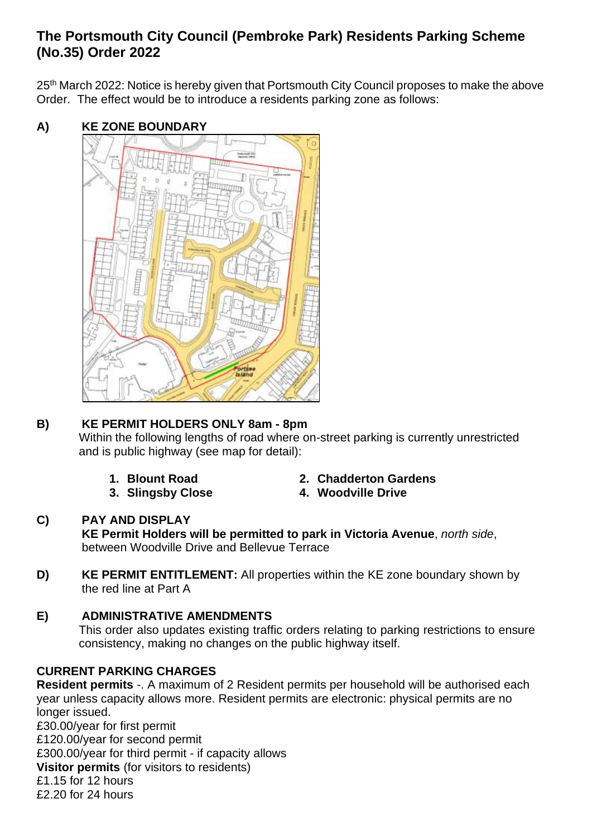## **The Portsmouth City Council (Pembroke Park) Residents Parking Scheme (No.35) Order 2022**

25<sup>th</sup> March 2022: Notice is hereby given that Portsmouth City Council proposes to make the above Order. The effect would be to introduce a residents parking zone as follows:

**A) KE ZONE BOUNDARY**



# **B) KE PERMIT HOLDERS ONLY 8am - 8pm**

Within the following lengths of road where on-street parking is currently unrestricted and is public highway (see map for detail):

- 
- 
- **1. Blount Road 2. Chadderton Gardens**
- **3. Slingsby Close 4. Woodville Drive**

#### **C) PAY AND DISPLAY KE Permit Holders will be permitted to park in Victoria Avenue**, *north side*, between Woodville Drive and Bellevue Terrace

**D) KE PERMIT ENTITLEMENT:** All properties within the KE zone boundary shown by the red line at Part A

## **E) ADMINISTRATIVE AMENDMENTS**

This order also updates existing traffic orders relating to parking restrictions to ensure consistency, making no changes on the public highway itself.

### **CURRENT PARKING CHARGES**

**Resident permits** -. A maximum of 2 Resident permits per household will be authorised each year unless capacity allows more. Resident permits are electronic: physical permits are no longer issued.

£30.00/year for first permit £120.00/year for second permit £300.00/year for third permit - if capacity allows **Visitor permits** (for visitors to residents) £1.15 for 12 hours £2.20 for 24 hours